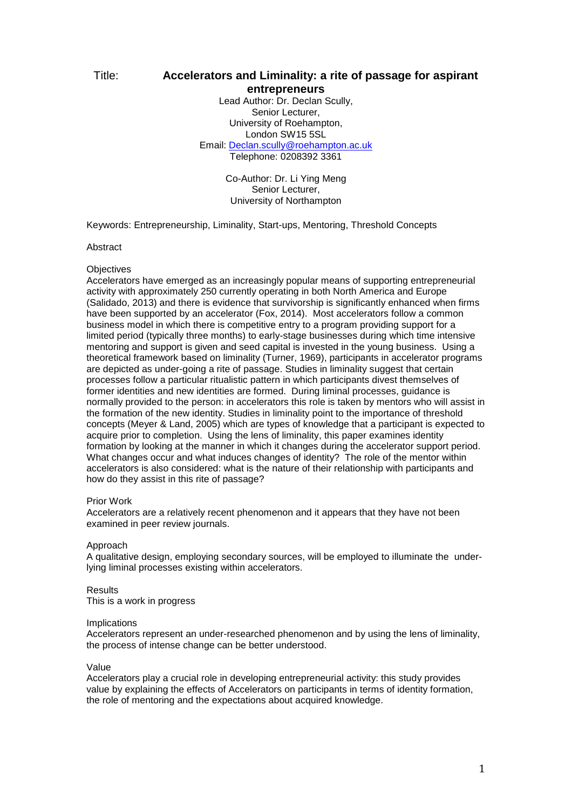# Title: **Accelerators and Liminality: a rite of passage for aspirant entrepreneurs**

Lead Author: Dr. Declan Scully, Senior Lecturer, University of Roehampton, London SW15 5SL Email: [Declan.scully@roehampton.ac.uk](mailto:Declan.scully@roehampton.ac.uk) Telephone: 0208392 3361

> Co-Author: Dr. Li Ying Meng Senior Lecturer, University of Northampton

Keywords: Entrepreneurship, Liminality, Start-ups, Mentoring, Threshold Concepts

# Abstract

## **Objectives**

Accelerators have emerged as an increasingly popular means of supporting entrepreneurial activity with approximately 250 currently operating in both North America and Europe (Salidado, 2013) and there is evidence that survivorship is significantly enhanced when firms have been supported by an accelerator (Fox, 2014). Most accelerators follow a common business model in which there is competitive entry to a program providing support for a limited period (typically three months) to early-stage businesses during which time intensive mentoring and support is given and seed capital is invested in the young business. Using a theoretical framework based on liminality (Turner, 1969), participants in accelerator programs are depicted as under-going a rite of passage. Studies in liminality suggest that certain processes follow a particular ritualistic pattern in which participants divest themselves of former identities and new identities are formed. During liminal processes, guidance is normally provided to the person: in accelerators this role is taken by mentors who will assist in the formation of the new identity. Studies in liminality point to the importance of threshold concepts (Meyer & Land, 2005) which are types of knowledge that a participant is expected to acquire prior to completion. Using the lens of liminality, this paper examines identity formation by looking at the manner in which it changes during the accelerator support period. What changes occur and what induces changes of identity? The role of the mentor within accelerators is also considered: what is the nature of their relationship with participants and how do they assist in this rite of passage?

#### Prior Work

Accelerators are a relatively recent phenomenon and it appears that they have not been examined in peer review journals.

#### Approach

A qualitative design, employing secondary sources, will be employed to illuminate the underlying liminal processes existing within accelerators.

#### Results

This is a work in progress

#### Implications

Accelerators represent an under-researched phenomenon and by using the lens of liminality, the process of intense change can be better understood.

#### Value

Accelerators play a crucial role in developing entrepreneurial activity: this study provides value by explaining the effects of Accelerators on participants in terms of identity formation, the role of mentoring and the expectations about acquired knowledge.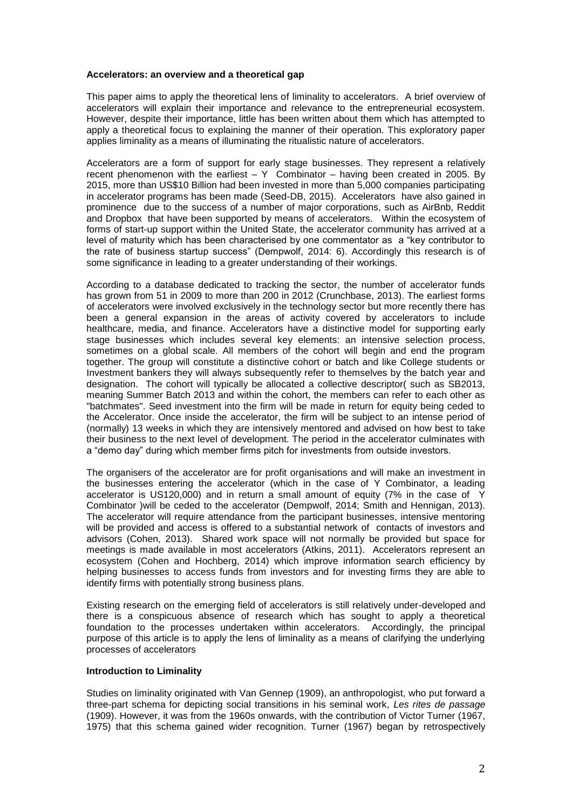#### **Accelerators: an overview and a theoretical gap**

This paper aims to apply the theoretical lens of liminality to accelerators. A brief overview of accelerators will explain their importance and relevance to the entrepreneurial ecosystem. However, despite their importance, little has been written about them which has attempted to apply a theoretical focus to explaining the manner of their operation. This exploratory paper applies liminality as a means of illuminating the ritualistic nature of accelerators.

Accelerators are a form of support for early stage businesses. They represent a relatively recent phenomenon with the earliest  $- Y$  Combinator – having been created in 2005. By 2015, more than US\$10 Billion had been invested in more than 5,000 companies participating in accelerator programs has been made (Seed-DB, 2015). Accelerators have also gained in prominence due to the success of a number of major corporations, such as AirBnb, Reddit and Dropbox that have been supported by means of accelerators. Within the ecosystem of forms of start-up support within the United State, the accelerator community has arrived at a level of maturity which has been characterised by one commentator as a "key contributor to the rate of business startup success" (Dempwolf, 2014: 6). Accordingly this research is of some significance in leading to a greater understanding of their workings.

According to a database dedicated to tracking the sector, the number of accelerator funds has grown from 51 in 2009 to more than 200 in 2012 (Crunchbase, 2013). The earliest forms of accelerators were involved exclusively in the technology sector but more recently there has been a general expansion in the areas of activity covered by accelerators to include healthcare, media, and finance. Accelerators have a distinctive model for supporting early stage businesses which includes several key elements: an intensive selection process, sometimes on a global scale. All members of the cohort will begin and end the program together. The group will constitute a distinctive cohort or batch and like College students or Investment bankers they will always subsequently refer to themselves by the batch year and designation. The cohort will typically be allocated a collective descriptor( such as SB2013, meaning Summer Batch 2013 and within the cohort, the members can refer to each other as "batchmates". Seed investment into the firm will be made in return for equity being ceded to the Accelerator. Once inside the accelerator, the firm will be subject to an intense period of (normally) 13 weeks in which they are intensively mentored and advised on how best to take their business to the next level of development. The period in the accelerator culminates with a "demo day" during which member firms pitch for investments from outside investors.

The organisers of the accelerator are for profit organisations and will make an investment in the businesses entering the accelerator (which in the case of Y Combinator, a leading accelerator is US120,000) and in return a small amount of equity (7% in the case of Y Combinator )will be ceded to the accelerator (Dempwolf, 2014; Smith and Hennigan, 2013). The accelerator will require attendance from the participant businesses, intensive mentoring will be provided and access is offered to a substantial network of contacts of investors and advisors (Cohen, 2013). Shared work space will not normally be provided but space for meetings is made available in most accelerators (Atkins, 2011). Accelerators represent an ecosystem (Cohen and Hochberg, 2014) which improve information search efficiency by helping businesses to access funds from investors and for investing firms they are able to identify firms with potentially strong business plans.

Existing research on the emerging field of accelerators is still relatively under-developed and there is a conspicuous absence of research which has sought to apply a theoretical foundation to the processes undertaken within accelerators. Accordingly, the principal purpose of this article is to apply the lens of liminality as a means of clarifying the underlying processes of accelerators

#### **Introduction to Liminality**

Studies on liminality originated with Van Gennep (1909), an anthropologist, who put forward a three-part schema for depicting social transitions in his seminal work, *Les rites de passage* (1909). However, it was from the 1960s onwards, with the contribution of Victor Turner (1967, 1975) that this schema gained wider recognition. Turner (1967) began by retrospectively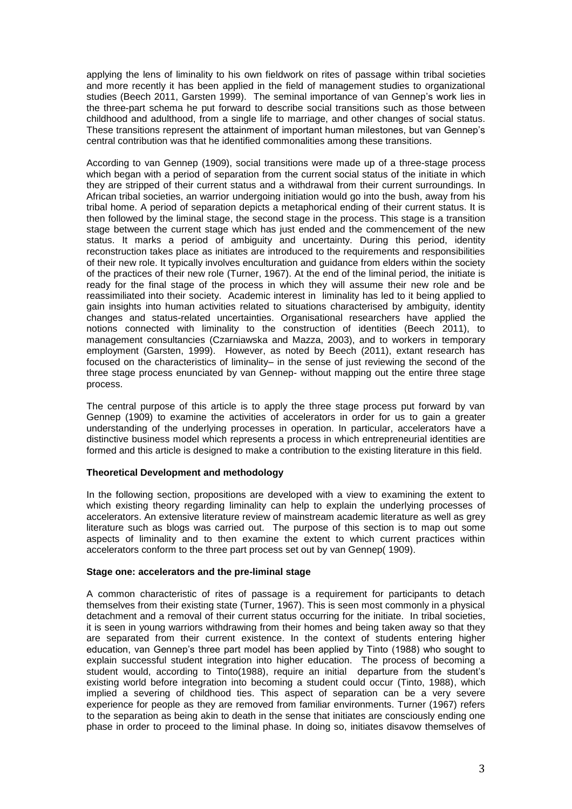applying the lens of liminality to his own fieldwork on rites of passage within tribal societies and more recently it has been applied in the field of management studies to organizational studies (Beech 2011, Garsten 1999). The seminal importance of van Gennep's work lies in the three-part schema he put forward to describe social transitions such as those between childhood and adulthood, from a single life to marriage, and other changes of social status. These transitions represent the attainment of important human milestones, but van Gennep's central contribution was that he identified commonalities among these transitions.

According to van Gennep (1909), social transitions were made up of a three-stage process which began with a period of separation from the current social status of the initiate in which they are stripped of their current status and a withdrawal from their current surroundings. In African tribal societies, an warrior undergoing initiation would go into the bush, away from his tribal home. A period of separation depicts a metaphorical ending of their current status. It is then followed by the liminal stage, the second stage in the process. This stage is a transition stage between the current stage which has just ended and the commencement of the new status. It marks a period of ambiguity and uncertainty. During this period, identity reconstruction takes place as initiates are introduced to the requirements and responsibilities of their new role. It typically involves enculturation and guidance from elders within the society of the practices of their new role (Turner, 1967). At the end of the liminal period, the initiate is ready for the final stage of the process in which they will assume their new role and be reassimiliated into their society. Academic interest in liminality has led to it being applied to gain insights into human activities related to situations characterised by ambiguity, identity changes and status-related uncertainties. Organisational researchers have applied the notions connected with liminality to the construction of identities (Beech 2011), to management consultancies (Czarniawska and Mazza, 2003), and to workers in temporary employment (Garsten, 1999). However, as noted by Beech (2011), extant research has focused on the characteristics of liminality– in the sense of just reviewing the second of the three stage process enunciated by van Gennep- without mapping out the entire three stage process.

The central purpose of this article is to apply the three stage process put forward by van Gennep (1909) to examine the activities of accelerators in order for us to gain a greater understanding of the underlying processes in operation. In particular, accelerators have a distinctive business model which represents a process in which entrepreneurial identities are formed and this article is designed to make a contribution to the existing literature in this field.

# **Theoretical Development and methodology**

In the following section, propositions are developed with a view to examining the extent to which existing theory regarding liminality can help to explain the underlying processes of accelerators. An extensive literature review of mainstream academic literature as well as grey literature such as blogs was carried out. The purpose of this section is to map out some aspects of liminality and to then examine the extent to which current practices within accelerators conform to the three part process set out by van Gennep( 1909).

#### **Stage one: accelerators and the pre-liminal stage**

A common characteristic of rites of passage is a requirement for participants to detach themselves from their existing state (Turner, 1967). This is seen most commonly in a physical detachment and a removal of their current status occurring for the initiate. In tribal societies, it is seen in young warriors withdrawing from their homes and being taken away so that they are separated from their current existence. In the context of students entering higher education, van Gennep's three part model has been applied by Tinto (1988) who sought to explain successful student integration into higher education. The process of becoming a student would, according to Tinto(1988), require an initial departure from the student's existing world before integration into becoming a student could occur (Tinto, 1988), which implied a severing of childhood ties. This aspect of separation can be a very severe experience for people as they are removed from familiar environments. Turner (1967) refers to the separation as being akin to death in the sense that initiates are consciously ending one phase in order to proceed to the liminal phase. In doing so, initiates disavow themselves of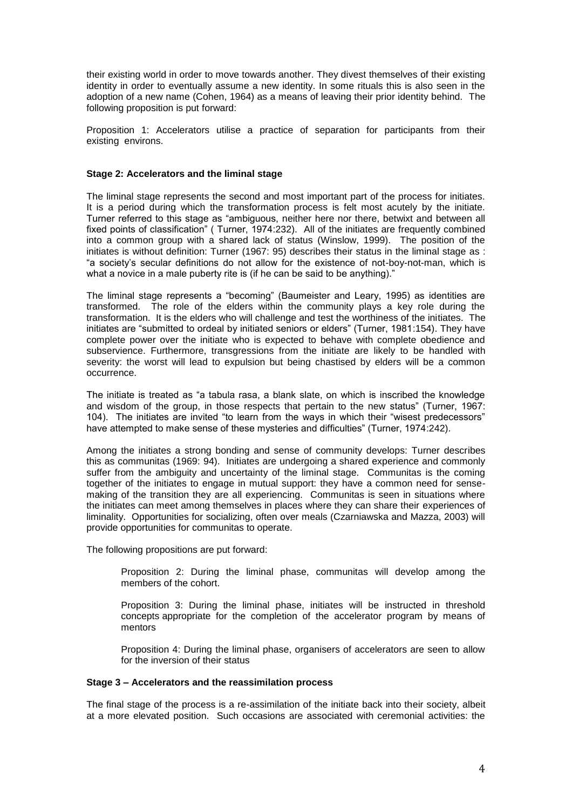their existing world in order to move towards another. They divest themselves of their existing identity in order to eventually assume a new identity. In some rituals this is also seen in the adoption of a new name (Cohen, 1964) as a means of leaving their prior identity behind. The following proposition is put forward:

Proposition 1: Accelerators utilise a practice of separation for participants from their existing environs.

## **Stage 2: Accelerators and the liminal stage**

The liminal stage represents the second and most important part of the process for initiates. It is a period during which the transformation process is felt most acutely by the initiate. Turner referred to this stage as "ambiguous, neither here nor there, betwixt and between all fixed points of classification" ( Turner, 1974:232). All of the initiates are frequently combined into a common group with a shared lack of status (Winslow, 1999). The position of the initiates is without definition: Turner (1967: 95) describes their status in the liminal stage as : "a society's secular definitions do not allow for the existence of not-boy-not-man, which is what a novice in a male puberty rite is (if he can be said to be anything)."

The liminal stage represents a "becoming" (Baumeister and Leary, 1995) as identities are transformed. The role of the elders within the community plays a key role during the transformation. It is the elders who will challenge and test the worthiness of the initiates. The initiates are "submitted to ordeal by initiated seniors or elders" (Turner, 1981:154). They have complete power over the initiate who is expected to behave with complete obedience and subservience. Furthermore, transgressions from the initiate are likely to be handled with severity: the worst will lead to expulsion but being chastised by elders will be a common occurrence.

The initiate is treated as "a tabula rasa, a blank slate, on which is inscribed the knowledge and wisdom of the group, in those respects that pertain to the new status" (Turner, 1967: 104). The initiates are invited "to learn from the ways in which their "wisest predecessors" have attempted to make sense of these mysteries and difficulties" (Turner, 1974:242).

Among the initiates a strong bonding and sense of community develops: Turner describes this as communitas (1969: 94). Initiates are undergoing a shared experience and commonly suffer from the ambiguity and uncertainty of the liminal stage. Communitas is the coming together of the initiates to engage in mutual support: they have a common need for sensemaking of the transition they are all experiencing. Communitas is seen in situations where the initiates can meet among themselves in places where they can share their experiences of liminality. Opportunities for socializing, often over meals (Czarniawska and Mazza, 2003) will provide opportunities for communitas to operate.

The following propositions are put forward:

Proposition 2: During the liminal phase, communitas will develop among the members of the cohort.

Proposition 3: During the liminal phase, initiates will be instructed in threshold concepts appropriate for the completion of the accelerator program by means of mentors

Proposition 4: During the liminal phase, organisers of accelerators are seen to allow for the inversion of their status

#### **Stage 3 – Accelerators and the reassimilation process**

The final stage of the process is a re-assimilation of the initiate back into their society, albeit at a more elevated position. Such occasions are associated with ceremonial activities: the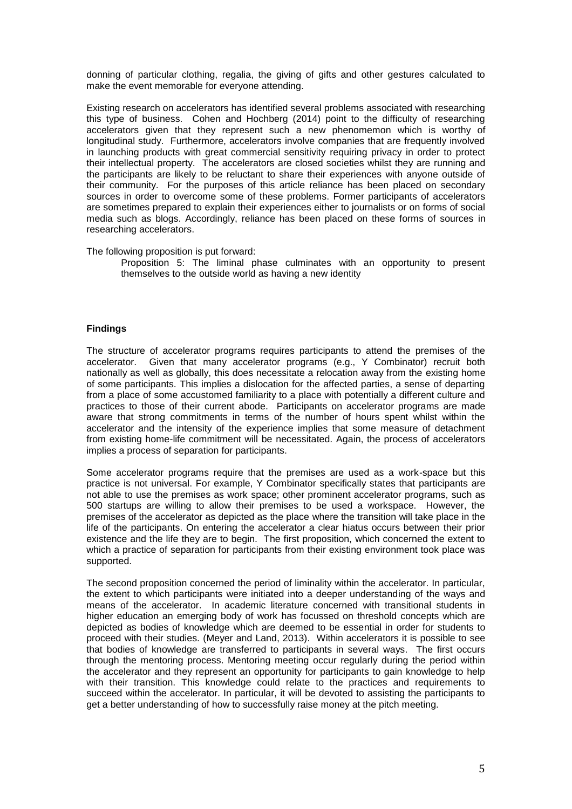donning of particular clothing, regalia, the giving of gifts and other gestures calculated to make the event memorable for everyone attending.

Existing research on accelerators has identified several problems associated with researching this type of business. Cohen and Hochberg (2014) point to the difficulty of researching accelerators given that they represent such a new phenomemon which is worthy of longitudinal study. Furthermore, accelerators involve companies that are frequently involved in launching products with great commercial sensitivity requiring privacy in order to protect their intellectual property. The accelerators are closed societies whilst they are running and the participants are likely to be reluctant to share their experiences with anyone outside of their community. For the purposes of this article reliance has been placed on secondary sources in order to overcome some of these problems. Former participants of accelerators are sometimes prepared to explain their experiences either to journalists or on forms of social media such as blogs. Accordingly, reliance has been placed on these forms of sources in researching accelerators.

The following proposition is put forward:

Proposition 5: The liminal phase culminates with an opportunity to present themselves to the outside world as having a new identity

## **Findings**

The structure of accelerator programs requires participants to attend the premises of the accelerator. Given that many accelerator programs (e.g., Y Combinator) recruit both nationally as well as globally, this does necessitate a relocation away from the existing home of some participants. This implies a dislocation for the affected parties, a sense of departing from a place of some accustomed familiarity to a place with potentially a different culture and practices to those of their current abode. Participants on accelerator programs are made aware that strong commitments in terms of the number of hours spent whilst within the accelerator and the intensity of the experience implies that some measure of detachment from existing home-life commitment will be necessitated. Again, the process of accelerators implies a process of separation for participants.

Some accelerator programs require that the premises are used as a work-space but this practice is not universal. For example, Y Combinator specifically states that participants are not able to use the premises as work space; other prominent accelerator programs, such as 500 startups are willing to allow their premises to be used a workspace. However, the premises of the accelerator as depicted as the place where the transition will take place in the life of the participants. On entering the accelerator a clear hiatus occurs between their prior existence and the life they are to begin. The first proposition, which concerned the extent to which a practice of separation for participants from their existing environment took place was supported.

The second proposition concerned the period of liminality within the accelerator. In particular, the extent to which participants were initiated into a deeper understanding of the ways and means of the accelerator. In academic literature concerned with transitional students in higher education an emerging body of work has focussed on threshold concepts which are depicted as bodies of knowledge which are deemed to be essential in order for students to proceed with their studies. (Meyer and Land, 2013). Within accelerators it is possible to see that bodies of knowledge are transferred to participants in several ways. The first occurs through the mentoring process. Mentoring meeting occur regularly during the period within the accelerator and they represent an opportunity for participants to gain knowledge to help with their transition. This knowledge could relate to the practices and requirements to succeed within the accelerator. In particular, it will be devoted to assisting the participants to get a better understanding of how to successfully raise money at the pitch meeting.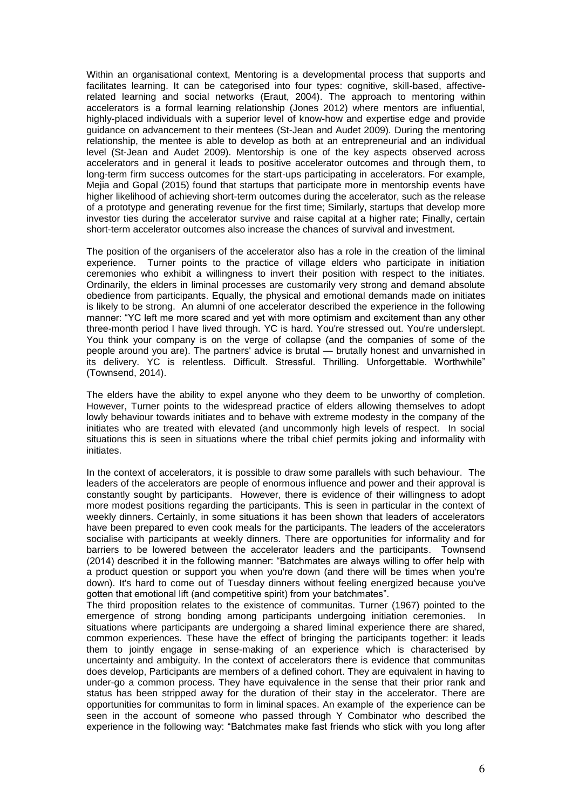Within an organisational context, Mentoring is a developmental process that supports and facilitates learning. It can be categorised into four types: cognitive, skill-based, affectiverelated learning and social networks (Eraut, 2004). The approach to mentoring within accelerators is a formal learning relationship (Jones 2012) where mentors are influential, highly-placed individuals with a superior level of know-how and expertise edge and provide guidance on advancement to their mentees (St-Jean and Audet 2009). During the mentoring relationship, the mentee is able to develop as both at an entrepreneurial and an individual level (St-Jean and Audet 2009). Mentorship is one of the key aspects observed across accelerators and in general it leads to positive accelerator outcomes and through them, to long-term firm success outcomes for the start-ups participating in accelerators. For example, Mejia and Gopal (2015) found that startups that participate more in mentorship events have higher likelihood of achieving short-term outcomes during the accelerator, such as the release of a prototype and generating revenue for the first time; Similarly, startups that develop more investor ties during the accelerator survive and raise capital at a higher rate; Finally, certain short-term accelerator outcomes also increase the chances of survival and investment.

The position of the organisers of the accelerator also has a role in the creation of the liminal experience. Turner points to the practice of village elders who participate in initiation ceremonies who exhibit a willingness to invert their position with respect to the initiates. Ordinarily, the elders in liminal processes are customarily very strong and demand absolute obedience from participants. Equally, the physical and emotional demands made on initiates is likely to be strong. An alumni of one accelerator described the experience in the following manner: "YC left me more scared and yet with more optimism and excitement than any other three-month period I have lived through. YC is hard. You're stressed out. You're underslept. You think your company is on the verge of collapse (and the companies of some of the people around you are). The partners' advice is brutal — brutally honest and unvarnished in its delivery. YC is relentless. Difficult. Stressful. Thrilling. Unforgettable. Worthwhile" (Townsend, 2014).

The elders have the ability to expel anyone who they deem to be unworthy of completion. However, Turner points to the widespread practice of elders allowing themselves to adopt lowly behaviour towards initiates and to behave with extreme modesty in the company of the initiates who are treated with elevated (and uncommonly high levels of respect. In social situations this is seen in situations where the tribal chief permits joking and informality with initiates.

In the context of accelerators, it is possible to draw some parallels with such behaviour. The leaders of the accelerators are people of enormous influence and power and their approval is constantly sought by participants. However, there is evidence of their willingness to adopt more modest positions regarding the participants. This is seen in particular in the context of weekly dinners. Certainly, in some situations it has been shown that leaders of accelerators have been prepared to even cook meals for the participants. The leaders of the accelerators socialise with participants at weekly dinners. There are opportunities for informality and for barriers to be lowered between the accelerator leaders and the participants. Townsend (2014) described it in the following manner: "Batchmates are always willing to offer help with a product question or support you when you're down (and there will be times when you're down). It's hard to come out of Tuesday dinners without feeling energized because you've gotten that emotional lift (and competitive spirit) from your batchmates".

The third proposition relates to the existence of communitas. Turner (1967) pointed to the emergence of strong bonding among participants undergoing initiation ceremonies. In situations where participants are undergoing a shared liminal experience there are shared, common experiences. These have the effect of bringing the participants together: it leads them to jointly engage in sense-making of an experience which is characterised by uncertainty and ambiguity. In the context of accelerators there is evidence that communitas does develop, Participants are members of a defined cohort. They are equivalent in having to under-go a common process. They have equivalence in the sense that their prior rank and status has been stripped away for the duration of their stay in the accelerator. There are opportunities for communitas to form in liminal spaces. An example of the experience can be seen in the account of someone who passed through Y Combinator who described the experience in the following way: "Batchmates make fast friends who stick with you long after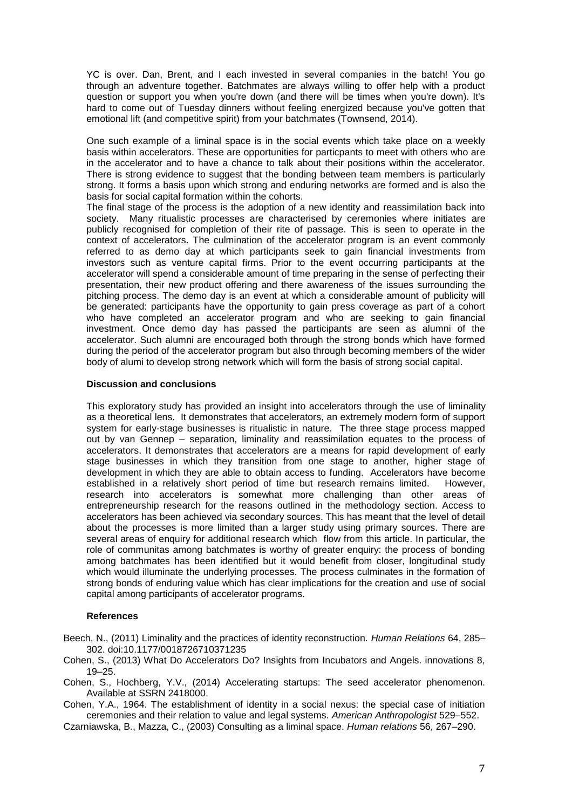YC is over. Dan, Brent, and I each invested in several companies in the batch! You go through an adventure together. Batchmates are always willing to offer help with a product question or support you when you're down (and there will be times when you're down). It's hard to come out of Tuesday dinners without feeling energized because you've gotten that emotional lift (and competitive spirit) from your batchmates (Townsend, 2014).

One such example of a liminal space is in the social events which take place on a weekly basis within accelerators. These are opportunities for particpants to meet with others who are in the accelerator and to have a chance to talk about their positions within the accelerator. There is strong evidence to suggest that the bonding between team members is particularly strong. It forms a basis upon which strong and enduring networks are formed and is also the basis for social capital formation within the cohorts.

The final stage of the process is the adoption of a new identity and reassimilation back into society. Many ritualistic processes are characterised by ceremonies where initiates are publicly recognised for completion of their rite of passage. This is seen to operate in the context of accelerators. The culmination of the accelerator program is an event commonly referred to as demo day at which participants seek to gain financial investments from investors such as venture capital firms. Prior to the event occurring participants at the accelerator will spend a considerable amount of time preparing in the sense of perfecting their presentation, their new product offering and there awareness of the issues surrounding the pitching process. The demo day is an event at which a considerable amount of publicity will be generated: participants have the opportunity to gain press coverage as part of a cohort who have completed an accelerator program and who are seeking to gain financial investment. Once demo day has passed the participants are seen as alumni of the accelerator. Such alumni are encouraged both through the strong bonds which have formed during the period of the accelerator program but also through becoming members of the wider body of alumi to develop strong network which will form the basis of strong social capital.

#### **Discussion and conclusions**

This exploratory study has provided an insight into accelerators through the use of liminality as a theoretical lens. It demonstrates that accelerators, an extremely modern form of support system for early-stage businesses is ritualistic in nature. The three stage process mapped out by van Gennep – separation, liminality and reassimilation equates to the process of accelerators. It demonstrates that accelerators are a means for rapid development of early stage businesses in which they transition from one stage to another, higher stage of development in which they are able to obtain access to funding. Accelerators have become established in a relatively short period of time but research remains limited. However, research into accelerators is somewhat more challenging than other areas of entrepreneurship research for the reasons outlined in the methodology section. Access to accelerators has been achieved via secondary sources. This has meant that the level of detail about the processes is more limited than a larger study using primary sources. There are several areas of enquiry for additional research which flow from this article. In particular, the role of communitas among batchmates is worthy of greater enquiry: the process of bonding among batchmates has been identified but it would benefit from closer, longitudinal study which would illuminate the underlying processes. The process culminates in the formation of strong bonds of enduring value which has clear implications for the creation and use of social capital among participants of accelerator programs.

#### **References**

Beech, N., (2011) Liminality and the practices of identity reconstruction. *Human Relations* 64, 285– 302. doi:10.1177/0018726710371235

Cohen, S., (2013) What Do Accelerators Do? Insights from Incubators and Angels. innovations 8, 19–25.

Cohen, S., Hochberg, Y.V., (2014) Accelerating startups: The seed accelerator phenomenon. Available at SSRN 2418000.

Cohen, Y.A., 1964. The establishment of identity in a social nexus: the special case of initiation ceremonies and their relation to value and legal systems. *American Anthropologist* 529–552.

Czarniawska, B., Mazza, C., (2003) Consulting as a liminal space. *Human relations* 56, 267–290.